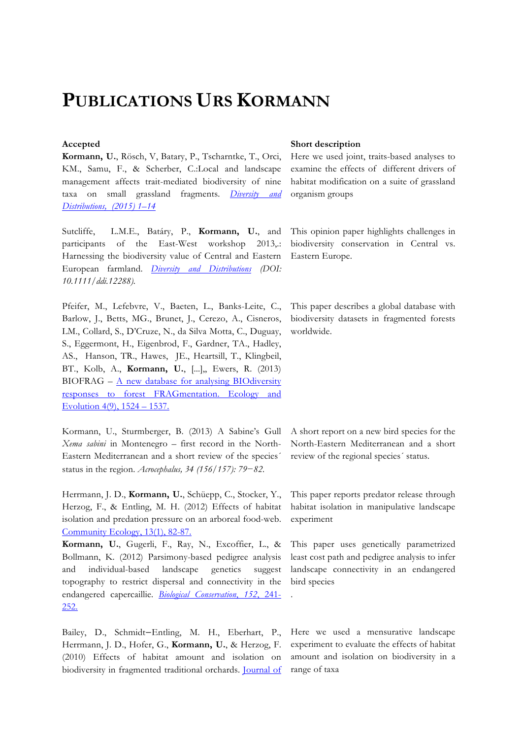# **PUBLICATIONS URS KORMANN**

**Kormann, U.**, Rösch, V, Batary, P., Tscharntke, T., Orci, KM., Samu, F., & Scherber, C.:Local and landscape management affects trait-mediated biodiversity of nine taxa on small grassland fragments. *Diversity and Distributions, (2015) 1–14*

Sutcliffe, L.M.E., Batáry, P., **Kormann, U.**, and participants of the East-West workshop 2013,.: Harnessing the biodiversity value of Central and Eastern European farmland. *Diversity and Distributions (DOI: 10.1111/ddi.12288).* 

Pfeifer, M., Lefebvre, V., Baeten, L., Banks-Leite, C., Barlow, J., Betts, MG., Brunet, J., Cerezo, A., Cisneros, LM., Collard, S., D'Cruze, N., da Silva Motta, C., Duguay, S., Eggermont, H., Eigenbrod, F., Gardner, TA., Hadley, AS., Hanson, TR., Hawes, JE., Heartsill, T., Klingbeil, BT., Kolb, A., **Kormann, U.**, [...],, Ewers, R. (2013) BIOFRAG – A new database for analysing BIOdiversity responses to forest FRAGmentation. Ecology and Evolution 4(9), 1524 – 1537.

Kormann, U., Sturmberger, B. (2013) A Sabine's Gull *Xema sabini* in Montenegro – first record in the North-Eastern Mediterranean and a short review of the species´ status in the region. *Acrocephalus, 34 (156/157): 79−82.*

Herrmann, J. D., **Kormann, U.**, Schüepp, C., Stocker, Y., Herzog, F., & Entling, M. H. (2012) Effects of habitat isolation and predation pressure on an arboreal food-web. Community Ecology, 13(1), 82-87.

**Kormann, U.**, Gugerli, F., Ray, N., Excoffier, L., & Bollmann, K. (2012) Parsimony-based pedigree analysis and individual-based landscape genetics suggest topography to restrict dispersal and connectivity in the endangered capercaillie. *Biological Conservation*, *152*, 241- 252.

Bailey, D., Schmidt–Entling, M. H., Eberhart, P., Herrmann, J. D., Hofer, G., **Kormann, U.**, & Herzog, F. (2010) Effects of habitat amount and isolation on biodiversity in fragmented traditional orchards. Journal of

### Accepted Short description

Here we used joint, traits-based analyses to examine the effects of different drivers of habitat modification on a suite of grassland organism groups

This opinion paper highlights challenges in biodiversity conservation in Central vs. Eastern Europe.

This paper describes a global database with biodiversity datasets in fragmented forests worldwide.

A short report on a new bird species for the North-Eastern Mediterranean and a short review of the regional species´ status.

This paper reports predator release through habitat isolation in manipulative landscape experiment

This paper uses genetically parametrized least cost path and pedigree analysis to infer landscape connectivity in an endangered bird species

.

Here we used a mensurative landscape experiment to evaluate the effects of habitat amount and isolation on biodiversity in a range of taxa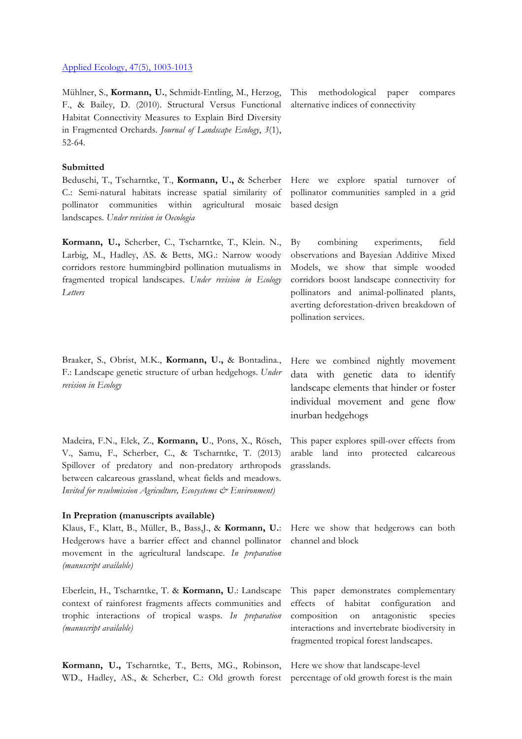#### Applied Ecology, 47(5), 1003-1013

Mühlner, S., **Kormann, U.**, Schmidt-Entling, M., Herzog, F., & Bailey, D. (2010). Structural Versus Functional Habitat Connectivity Measures to Explain Bird Diversity in Fragmented Orchards. *Journal of Landscape Ecology*, *3*(1), 52-64.

# **Submitted**

Beduschi, T., Tscharntke, T., **Kormann, U.,** & Scherber C.: Semi-natural habitats increase spatial similarity of pollinator communities within agricultural mosaic landscapes. *Under revision in Oecologia*

**Kormann, U.,** Scherber, C., Tscharntke, T., Klein. N., Larbig, M., Hadley, AS. & Betts, MG.: Narrow woody corridors restore hummingbird pollination mutualisms in fragmented tropical landscapes. *Under revision in Ecology Letters*

Braaker, S., Obrist, M.K., **Kormann, U.,** & Bontadina., F.: Landscape genetic structure of urban hedgehogs. *Under revision in Ecology*

Madeira, F.N., Elek, Z., **Kormann, U**., Pons, X., Rösch, V., Samu, F., Scherber, C., & Tscharntke, T. (2013) Spillover of predatory and non-predatory arthropods between calcareous grassland, wheat fields and meadows. *Invited for resubmission Agriculture, Ecosystems & Environment)*

# **In Prepration (manuscripts available)**

Klaus, F., Klatt, B., Müller, B., Bass,J., & **Kormann, U.**: Hedgerows have a barrier effect and channel pollinator movement in the agricultural landscape. *In preparation (manuscript available)*

Eberlein, H., Tscharntke, T. & **Kormann, U**.: Landscape context of rainforest fragments affects communities and trophic interactions of tropical wasps. *In preparation (manuscript available)*

**Kormann, U.,** Tscharntke, T., Betts, MG., Robinson, WD., Hadley, AS., & Scherber, C.: Old growth forest percentage of old growth forest is the main

This methodological paper compares alternative indices of connectivity

Here we explore spatial turnover of pollinator communities sampled in a grid based design

By combining experiments, field observations and Bayesian Additive Mixed Models, we show that simple wooded corridors boost landscape connectivity for pollinators and animal-pollinated plants, averting deforestation-driven breakdown of pollination services.

Here we combined nightly movement data with genetic data to identify landscape elements that hinder or foster individual movement and gene flow inurban hedgehogs

This paper explores spill-over effects from arable land into protected calcareous grasslands.

Here we show that hedgerows can both channel and block

This paper demonstrates complementary effects of habitat configuration and composition on antagonistic species interactions and invertebrate biodiversity in fragmented tropical forest landscapes.

Here we show that landscape-level